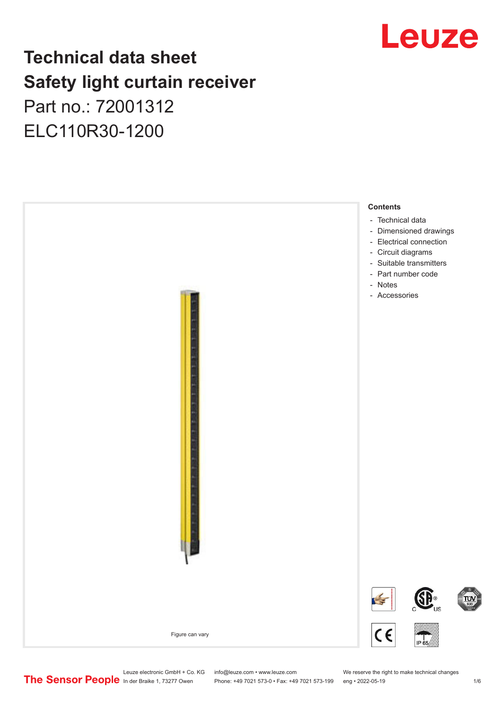## Leuze

## **Technical data sheet Safety light curtain receiver** Part no.: 72001312 ELC110R30-1200



Leuze electronic GmbH + Co. KG info@leuze.com • www.leuze.com We reserve the right to make technical changes<br>
The Sensor People in der Braike 1, 73277 Owen Phone: +49 7021 573-0 • Fax: +49 7021 573-199 eng • 2022-05-19

Phone: +49 7021 573-0 • Fax: +49 7021 573-199 eng • 2022-05-19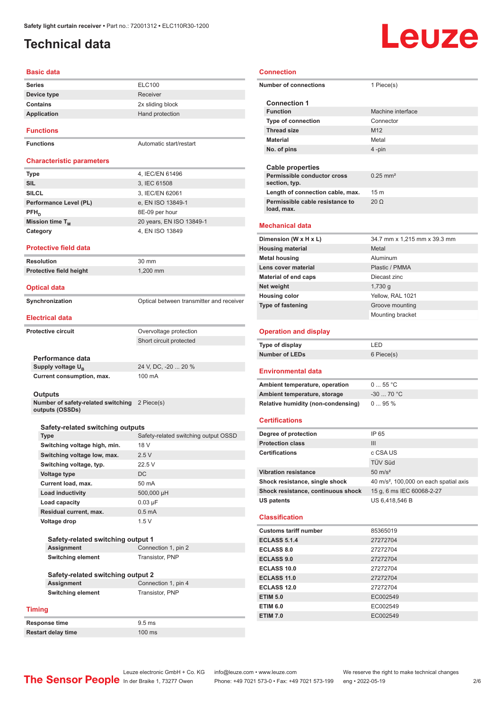## <span id="page-1-0"></span>**Technical data**

### **Basic data**

| <b>Series</b>   | <b>ELC100</b>    |
|-----------------|------------------|
| Device type     | Receiver         |
| <b>Contains</b> | 2x sliding block |
| Application     | Hand protection  |
|                 |                  |

#### **Functions**

**Functions Automatic start/restart** 

#### **Characteristic parameters**

| <b>Type</b>            | 4, IEC/EN 61496          |
|------------------------|--------------------------|
| <b>SIL</b>             | 3, IEC 61508             |
| <b>SILCL</b>           | 3, IEC/EN 62061          |
| Performance Level (PL) | e, EN ISO 13849-1        |
| $PFH_n$                | 8E-09 per hour           |
| Mission time $T_M$     | 20 years, EN ISO 13849-1 |
| Category               | 4, EN ISO 13849          |
|                        |                          |

#### **Protective field data**

| <b>Resolution</b>       | 30 mm      |
|-------------------------|------------|
| Protective field height | $1.200$ mm |
|                         |            |

#### **Optical data**

**Synchronization Synchronization Optical between transmitter and receiver** 

#### **Electrical data**

| Protective circuit            | Overvoltage protection  |
|-------------------------------|-------------------------|
|                               | Short circuit protected |
|                               |                         |
| Performance data              |                         |
| Supply voltage U <sub>p</sub> | 24 V, DC, -20  20 %     |
| Current consumption, max.     | 100 mA                  |

#### **Outputs**

**Number of safety-related switching outputs (OSSDs)** 2 Piece(s)

### **Safety-related switching outputs**

| <b>Type</b>                  | Safety-related switching output OSSD |
|------------------------------|--------------------------------------|
| Switching voltage high, min. | 18 V                                 |
| Switching voltage low, max.  | 2.5V                                 |
| Switching voltage, typ.      | 22.5V                                |
| Voltage type                 | <b>DC</b>                            |
| Current load, max.           | 50 mA                                |
| Load inductivity             | 500,000 µH                           |
| Load capacity                | $0.03 \mu F$                         |
| Residual current, max.       | $0.5 \text{ mA}$                     |
| Voltage drop                 | 1.5V                                 |

| Safety-related switching output 1 |                        |  |
|-----------------------------------|------------------------|--|
| <b>Assignment</b>                 | Connection 1, pin 2    |  |
| <b>Switching element</b>          | <b>Transistor, PNP</b> |  |
| Safety-related switching output 2 |                        |  |
| <b>Assignment</b>                 | Connection 1, pin 4    |  |

**Switching element** Transistor, PNP

#### **Timing**

**Response time** 9.5 ms<br> **Restart delay time** 100 ms **Restart delay time** 

| Connection                               |                                                    |
|------------------------------------------|----------------------------------------------------|
| <b>Number of connections</b>             | 1 Piece(s)                                         |
| <b>Connection 1</b>                      |                                                    |
| <b>Function</b>                          | Machine interface                                  |
| Type of connection                       | Connector                                          |
| <b>Thread size</b>                       | M12                                                |
| <b>Material</b>                          | Metal                                              |
| No. of pins                              | 4-pin                                              |
|                                          |                                                    |
| <b>Cable properties</b>                  |                                                    |
| Permissible conductor cross              | $0.25$ mm <sup>2</sup>                             |
| section, typ.                            |                                                    |
| Length of connection cable, max.         | 15 <sub>m</sub>                                    |
| Permissible cable resistance to          | $20 \Omega$                                        |
| load, max.                               |                                                    |
| <b>Mechanical data</b>                   |                                                    |
|                                          |                                                    |
| Dimension (W x H x L)                    | 34.7 mm x 1,215 mm x 39.3 mm                       |
| <b>Housing material</b>                  | Metal<br>Aluminum                                  |
| <b>Metal housing</b>                     | Plastic / PMMA                                     |
| Lens cover material                      |                                                    |
| <b>Material of end caps</b>              | Diecast zinc                                       |
| Net weight                               | $1,730$ g                                          |
| <b>Housing color</b>                     | Yellow, RAL 1021                                   |
| Type of fastening                        | Groove mounting                                    |
|                                          | Mounting bracket                                   |
| <b>Operation and display</b>             |                                                    |
|                                          | LED                                                |
| Type of display<br><b>Number of LEDs</b> |                                                    |
|                                          | 6 Piece(s)                                         |
| <b>Environmental data</b>                |                                                    |
| Ambient temperature, operation           | 055 °C                                             |
| Ambient temperature, storage             | $-30$ 70 °C                                        |
| Relative humidity (non-condensing)       | 095%                                               |
|                                          |                                                    |
| <b>Certifications</b>                    |                                                    |
| Degree of protection                     | IP 65                                              |
| <b>Protection class</b>                  | Ш                                                  |
| <b>Certifications</b>                    | c CSA US                                           |
|                                          | TÜV Süd                                            |
| <b>Vibration resistance</b>              | $50 \text{ m/s}^2$                                 |
| Shock resistance, single shock           | 40 m/s <sup>2</sup> , 100,000 on each spatial axis |
| Shock resistance, continuous shock       | 15 g, 6 ms IEC 60068-2-27                          |
| US patents                               | US 6,418,546 B                                     |
| <b>Classification</b>                    |                                                    |
| <b>Customs tariff number</b>             | 85365019                                           |
| <b>ECLASS 5.1.4</b>                      | 27272704                                           |
| <b>ECLASS 8.0</b>                        | 27272704                                           |
| <b>ECLASS 9.0</b>                        | 27272704                                           |
| <b>ECLASS 10.0</b>                       | 27272704                                           |
| <b>ECLASS 11.0</b>                       | 27272704                                           |
| <b>ECLASS 12.0</b>                       | 27272704                                           |
| <b>ETIM 5.0</b>                          | EC002549                                           |
| <b>ETIM 6.0</b>                          | EC002549                                           |
| <b>ETIM 7.0</b>                          |                                                    |
|                                          | EC002549                                           |
|                                          |                                                    |

Leuze

Leuze electronic GmbH + Co. KG info@leuze.com • www.leuze.com We reserve the right to make technical changes<br>
The Sensor People in der Braike 1, 73277 Owen Phone: +49 7021 573-0 • Fax: +49 7021 573-199 eng • 2022-05-19

Phone: +49 7021 573-0 • Fax: +49 7021 573-199 eng • 2022-05-19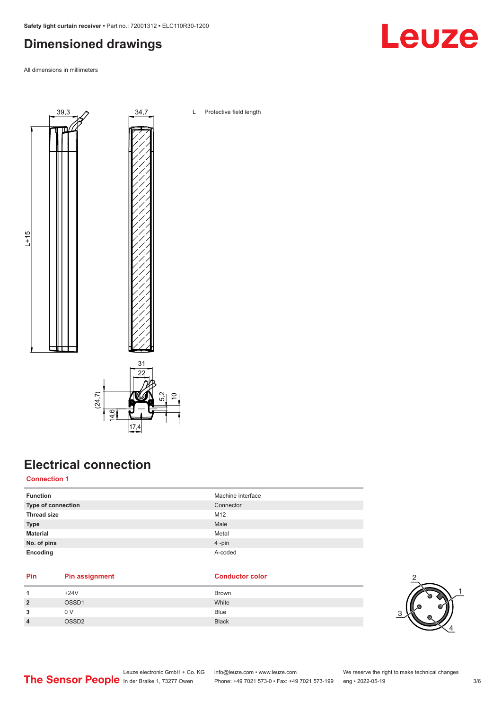## <span id="page-2-0"></span>**Dimensioned drawings**

All dimensions in millimeters



## **Electrical connection**

17.4

**Connection 1**

| <b>Function</b>           | Machine interface |
|---------------------------|-------------------|
| <b>Type of connection</b> | Connector         |
| <b>Thread size</b>        | M12               |
| <b>Type</b>               | Male              |
| <b>Material</b>           | Metal             |
| No. of pins               | 4-pin             |
| Encoding                  | A-coded           |

#### **Pin Pin assignment Conductor Conductor Color**

|                | $+24V$ | Brown        |
|----------------|--------|--------------|
| $\overline{2}$ | OSSD1  | White        |
| 3              | 0 V    | <b>Blue</b>  |
| $\overline{4}$ |        | <b>Black</b> |

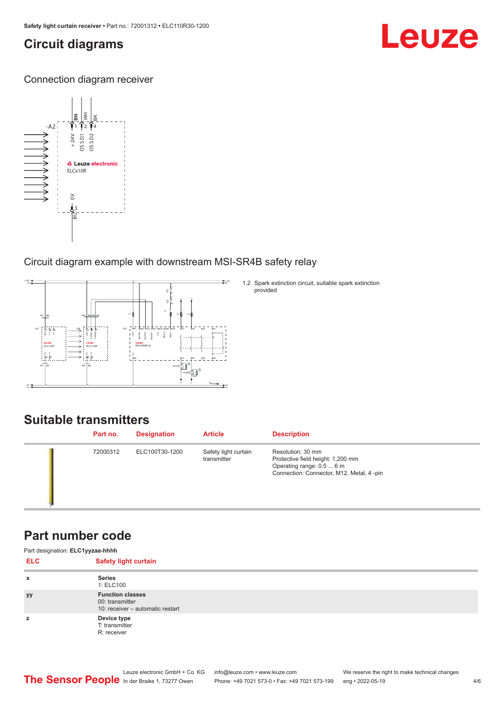## <span id="page-3-0"></span>**Circuit diagrams**

# Leuze

Connection diagram receiver



### Circuit diagram example with downstream MSI-SR4B safety relay



**Suitable transmitters**

| Part no. | <b>Designation</b> | <b>Article</b>                      | <b>Description</b>                                                                                                              |
|----------|--------------------|-------------------------------------|---------------------------------------------------------------------------------------------------------------------------------|
| 72000312 | ELC100T30-1200     | Safety light curtain<br>transmitter | Resolution: 30 mm<br>Protective field height: 1,200 mm<br>Operating range: 0.5  6 m<br>Connection: Connector, M12, Metal, 4-pin |

1.2 Spark extinction circuit, suitable spark extinction

provided

## **Part number code**

| Part designation: ELC1yyzaa-hhhh |                                                                                |  |
|----------------------------------|--------------------------------------------------------------------------------|--|
| <b>ELC</b>                       | <b>Safety light curtain</b>                                                    |  |
| x                                | <b>Series</b><br>1: ELC100                                                     |  |
| <b>yy</b>                        | <b>Function classes</b><br>00: transmitter<br>10: receiver - automatic restart |  |
| z                                | Device type<br>T: transmitter<br>R: receiver                                   |  |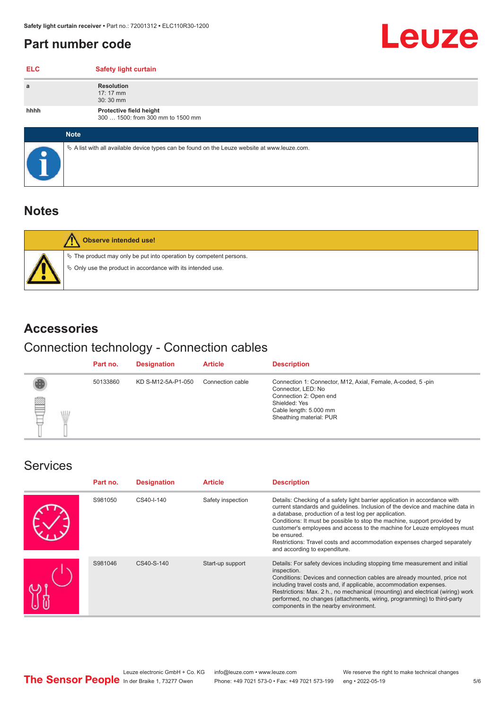## <span id="page-4-0"></span>**Part number code**

| <b>ELC</b> | <b>Safety light curtain</b>                                                                       |
|------------|---------------------------------------------------------------------------------------------------|
| a          | <b>Resolution</b><br>$17:17 \, \text{mm}$<br>$30:30$ mm                                           |
| hhhh       | Protective field height<br>300  1500: from 300 mm to 1500 mm                                      |
|            | <b>Note</b>                                                                                       |
|            | Vector A list with all available device types can be found on the Leuze website at www.leuze.com. |

## **Notes**

|  | جه<br>Ъ |
|--|---------|

## **Observe intended use!** The product may only be put into operation by competent persons. Only use the product in accordance with its intended use.

## **Accessories**

## Connection technology - Connection cables

|                 | Part no. | <b>Designation</b> | <b>Article</b>   | <b>Description</b>                                                                                                                                                                |
|-----------------|----------|--------------------|------------------|-----------------------------------------------------------------------------------------------------------------------------------------------------------------------------------|
| §<br><b>ALL</b> | 50133860 | KD S-M12-5A-P1-050 | Connection cable | Connection 1: Connector, M12, Axial, Female, A-coded, 5-pin<br>Connector, LED: No<br>Connection 2: Open end<br>Shielded: Yes<br>Cable length: 5.000 mm<br>Sheathing material: PUR |

## Services

| Part no. | <b>Designation</b> | <b>Article</b>    | <b>Description</b>                                                                                                                                                                                                                                                                                                                                                                                                                                                                                      |
|----------|--------------------|-------------------|---------------------------------------------------------------------------------------------------------------------------------------------------------------------------------------------------------------------------------------------------------------------------------------------------------------------------------------------------------------------------------------------------------------------------------------------------------------------------------------------------------|
| S981050  | CS40-I-140         | Safety inspection | Details: Checking of a safety light barrier application in accordance with<br>current standards and guidelines. Inclusion of the device and machine data in<br>a database, production of a test log per application.<br>Conditions: It must be possible to stop the machine, support provided by<br>customer's employees and access to the machine for Leuze employees must<br>be ensured.<br>Restrictions: Travel costs and accommodation expenses charged separately<br>and according to expenditure. |
| S981046  | CS40-S-140         | Start-up support  | Details: For safety devices including stopping time measurement and initial<br>inspection.<br>Conditions: Devices and connection cables are already mounted, price not<br>including travel costs and, if applicable, accommodation expenses.<br>Restrictions: Max. 2 h., no mechanical (mounting) and electrical (wiring) work<br>performed, no changes (attachments, wiring, programming) to third-party<br>components in the nearby environment.                                                      |

Leuze